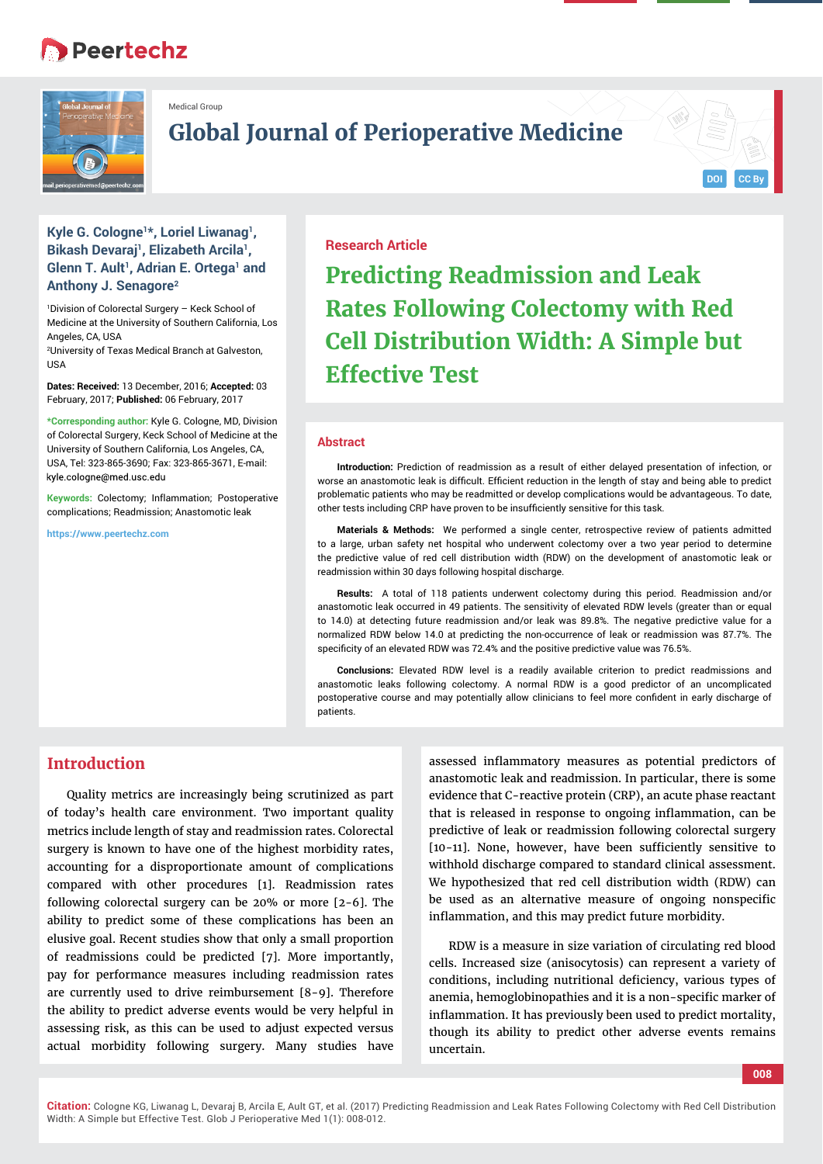# **Peertechz**



Medical Group

**Global Journal of Perioperative Medicine**

## **Kyle G. Cologne1\*, Loriel Liwanag1, Bikash Devaraj<sup>1</sup>, Elizabeth Arcila<sup>1</sup>, Glenn T. Ault<sup>1</sup>, Adrian E. Ortega<sup>1</sup> and Anthony J. Senagore2**

1 Division of Colorectal Surgery – Keck School of Medicine at the University of Southern California, Los Angeles, CA, USA

2 University of Texas Medical Branch at Galveston, USA

**Dates: Received:** 13 December, 2016; **Accepted:** 03 February, 2017; **Published:** 06 February, 2017

**\*Corresponding author:** Kyle G. Cologne, MD, Division of Colorectal Surgery, Keck School of Medicine at the University of Southern California, Los Angeles, CA, USA, Tel: 323-865-3690; Fax: 323-865-3671, E-mail: kyle.cologne@med.usc.edu

**Keywords: Colectomy: Inflammation: Postoperative** complications; Readmission; Anastomotic leak

**https://www.peertechz.com**

## **Research Article**

**Predicting Readmission and Leak Rates Following Colectomy with Red Cell Distribution Width: A Simple but Effective Test**

#### **Abstract**

**Introduction:** Prediction of readmission as a result of either delayed presentation of infection, or worse an anastomotic leak is difficult. Efficient reduction in the length of stay and being able to predict problematic patients who may be readmitted or develop complications would be advantageous. To date, other tests including CRP have proven to be insufficiently sensitive for this task.

**Materials & Methods:** We performed a single center, retrospective review of patients admitted to a large, urban safety net hospital who underwent colectomy over a two year period to determine the predictive value of red cell distribution width (RDW) on the development of anastomotic leak or readmission within 30 days following hospital discharge.

**Results:** A total of 118 patients underwent colectomy during this period. Readmission and/or anastomotic leak occurred in 49 patients. The sensitivity of elevated RDW levels (greater than or equal to 14.0) at detecting future readmission and/or leak was 89.8%. The negative predictive value for a normalized RDW below 14.0 at predicting the non-occurrence of leak or readmission was 87.7%. The specificity of an elevated RDW was 72.4% and the positive predictive value was 76.5%.

**Conclusions:** Elevated RDW level is a readily available criterion to predict readmissions and anastomotic leaks following colectomy. A normal RDW is a good predictor of an uncomplicated postoperative course and may potentially allow clinicians to feel more confident in early discharge of patients.

# **Introduction**

Quality metrics are increasingly being scrutinized as part of today's health care environment. Two important quality metrics include length of stay and readmission rates. Colorectal surgery is known to have one of the highest morbidity rates, accounting for a disproportionate amount of complications compared with other procedures [1]. Readmission rates following colorectal surgery can be 20% or more [2-6]. The ability to predict some of these complications has been an elusive goal. Recent studies show that only a small proportion of readmissions could be predicted [7]. More importantly, pay for performance measures including readmission rates are currently used to drive reimbursement [8-9]. Therefore the ability to predict adverse events would be very helpful in assessing risk, as this can be used to adjust expected versus actual morbidity following surgery. Many studies have

assessed inflammatory measures as potential predictors of anastomotic leak and readmission. In particular, there is some evidence that C-reactive protein (CRP), an acute phase reactant that is released in response to ongoing inflammation, can be predictive of leak or readmission following colorectal surgery [10-11]. None, however, have been sufficiently sensitive to withhold discharge compared to standard clinical assessment. We hypothesized that red cell distribution width (RDW) can be used as an alternative measure of ongoing nonspecific inflammation, and this may predict future morbidity.

RDW is a measure in size variation of circulating red blood cells. Increased size (anisocytosis) can represent a variety of conditions, including nutritional deficiency, various types of anemia, hemoglobinopathies and it is a non-specific marker of inflammation. It has previously been used to predict mortality, though its ability to predict other adverse events remains uncertain.

**008**

**DOI CC By**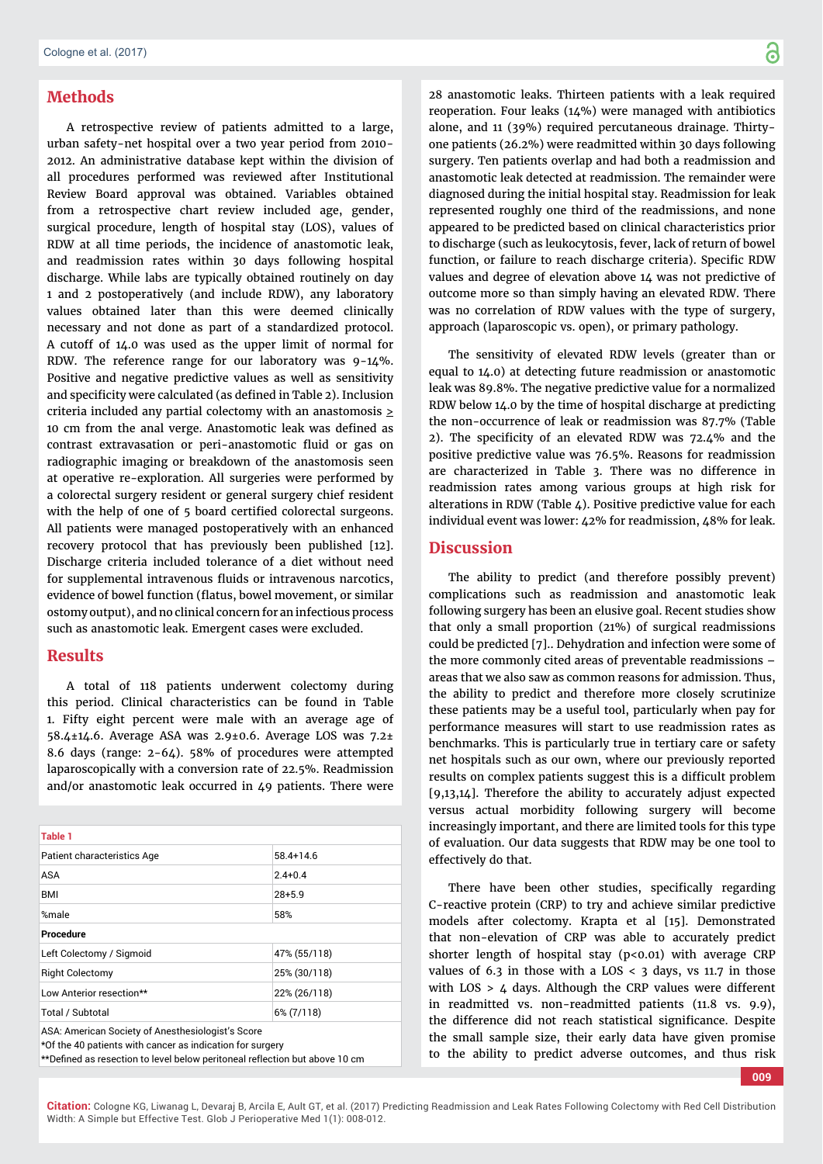## **Methods**

A retrospective review of patients admitted to a large, urban safety-net hospital over a two year period from 2010- 2012. An administrative database kept within the division of all procedures performed was reviewed after Institutional Review Board approval was obtained. Variables obtained from a retrospective chart review included age, gender, surgical procedure, length of hospital stay (LOS), values of RDW at all time periods, the incidence of anastomotic leak, and readmission rates within 30 days following hospital discharge. While labs are typically obtained routinely on day 1 and 2 postoperatively (and include RDW), any laboratory values obtained later than this were deemed clinically necessary and not done as part of a standardized protocol. A cutoff of 14.0 was used as the upper limit of normal for RDW. The reference range for our laboratory was 9-14%. Positive and negative predictive values as well as sensitivity and specificity were calculated (as defined in Table 2). Inclusion criteria included any partial colectomy with an anastomosis  $\geq$ 10 cm from the anal verge. Anastomotic leak was defined as contrast extravasation or peri-anastomotic fluid or gas on radiographic imaging or breakdown of the anastomosis seen at operative re-exploration. All surgeries were performed by a colorectal surgery resident or general surgery chief resident with the help of one of 5 board certified colorectal surgeons. All patients were managed postoperatively with an enhanced recovery protocol that has previously been published [12]. Discharge criteria included tolerance of a diet without need for supplemental intravenous fluids or intravenous narcotics, evidence of bowel function (flatus, bowel movement, or similar ostomy output), and no clinical concern for an infectious process such as anastomotic leak. Emergent cases were excluded.

## **Results**

A total of 118 patients underwent colectomy during this period. Clinical characteristics can be found in Table 1. Fifty eight percent were male with an average age of 58.4±14.6. Average ASA was 2.9±0.6. Average LOS was 7.2± 8.6 days (range: 2-64). 58% of procedures were attempted laparoscopically with a conversion rate of 22.5%. Readmission and/or anastomotic leak occurred in 49 patients. There were

| <b>Table 1</b>                                                                                           |               |
|----------------------------------------------------------------------------------------------------------|---------------|
| Patient characteristics Age                                                                              | $58.4 + 14.6$ |
| ASA                                                                                                      | $2.4 + 0.4$   |
| BMI                                                                                                      | $28 + 5.9$    |
| %male                                                                                                    | 58%           |
| <b>Procedure</b>                                                                                         |               |
| Left Colectomy / Sigmoid                                                                                 | 47% (55/118)  |
| <b>Right Colectomy</b>                                                                                   | 25% (30/118)  |
| Low Anterior resection**                                                                                 | 22% (26/118)  |
| Total / Subtotal                                                                                         | 6% (7/118)    |
| $\Lambda$ O $\Lambda$ : $\Lambda$ as subsidiary Original, of $\Lambda$ as said solid subsidiary Original |               |

ASA: American Society of Anesthesiologist's Score

\*Of the 40 patients with cancer as indication for surgery \*\*Defined as resection to level below peritoneal reflection but above 10 cm 28 anastomotic leaks. Thirteen patients with a leak required reoperation. Four leaks (14%) were managed with antibiotics alone, and 11 (39%) required percutaneous drainage. Thirtyone patients (26.2%) were readmitted within 30 days following surgery. Ten patients overlap and had both a readmission and anastomotic leak detected at readmission. The remainder were diagnosed during the initial hospital stay. Readmission for leak represented roughly one third of the readmissions, and none appeared to be predicted based on clinical characteristics prior to discharge (such as leukocytosis, fever, lack of return of bowel function, or failure to reach discharge criteria). Specific RDW values and degree of elevation above 14 was not predictive of outcome more so than simply having an elevated RDW. There was no correlation of RDW values with the type of surgery, approach (laparoscopic vs. open), or primary pathology.

The sensitivity of elevated RDW levels (greater than or equal to 14.0) at detecting future readmission or anastomotic leak was 89.8%. The negative predictive value for a normalized RDW below 14.0 by the time of hospital discharge at predicting the non-occurrence of leak or readmission was 87.7% (Table 2). The specificity of an elevated RDW was  $72.4\%$  and the positive predictive value was 76.5%. Reasons for readmission are characterized in Table 3. There was no difference in readmission rates among various groups at high risk for alterations in RDW (Table 4). Positive predictive value for each individual event was lower: 42% for readmission, 48% for leak.

### **Discussion**

The ability to predict (and therefore possibly prevent) complications such as readmission and anastomotic leak following surgery has been an elusive goal. Recent studies show that only a small proportion (21%) of surgical readmissions could be predicted [7].. Dehydration and infection were some of the more commonly cited areas of preventable readmissions – areas that we also saw as common reasons for admission. Thus, the ability to predict and therefore more closely scrutinize these patients may be a useful tool, particularly when pay for performance measures will start to use readmission rates as benchmarks. This is particularly true in tertiary care or safety net hospitals such as our own, where our previously reported results on complex patients suggest this is a difficult problem [9,13,14]. Therefore the ability to accurately adjust expected versus actual morbidity following surgery will become increasingly important, and there are limited tools for this type of evaluation. Our data suggests that RDW may be one tool to effectively do that.

There have been other studies, specifically regarding C-reactive protein (CRP) to try and achieve similar predictive models after colectomy. Krapta et al [15]. Demonstrated that non-elevation of CRP was able to accurately predict shorter length of hospital stay  $(p<0.01)$  with average CRP values of  $6.3$  in those with a LOS <  $3$  days, vs 11.7 in those with LOS > 4 days. Although the CRP values were different in readmitted vs. non-readmitted patients (11.8 vs. 9.9), the difference did not reach statistical significance. Despite the small sample size, their early data have given promise to the ability to predict adverse outcomes, and thus risk

**009**

**Citation:** Cologne KG, Liwanag L, Devaraj B, Arcila E, Ault GT, et al. (2017) Predicting Readmission and Leak Rates Following Colectomy with Red Cell Distribution Width: A Simple but Effective Test. Glob J Perioperative Med 1(1): 008-012.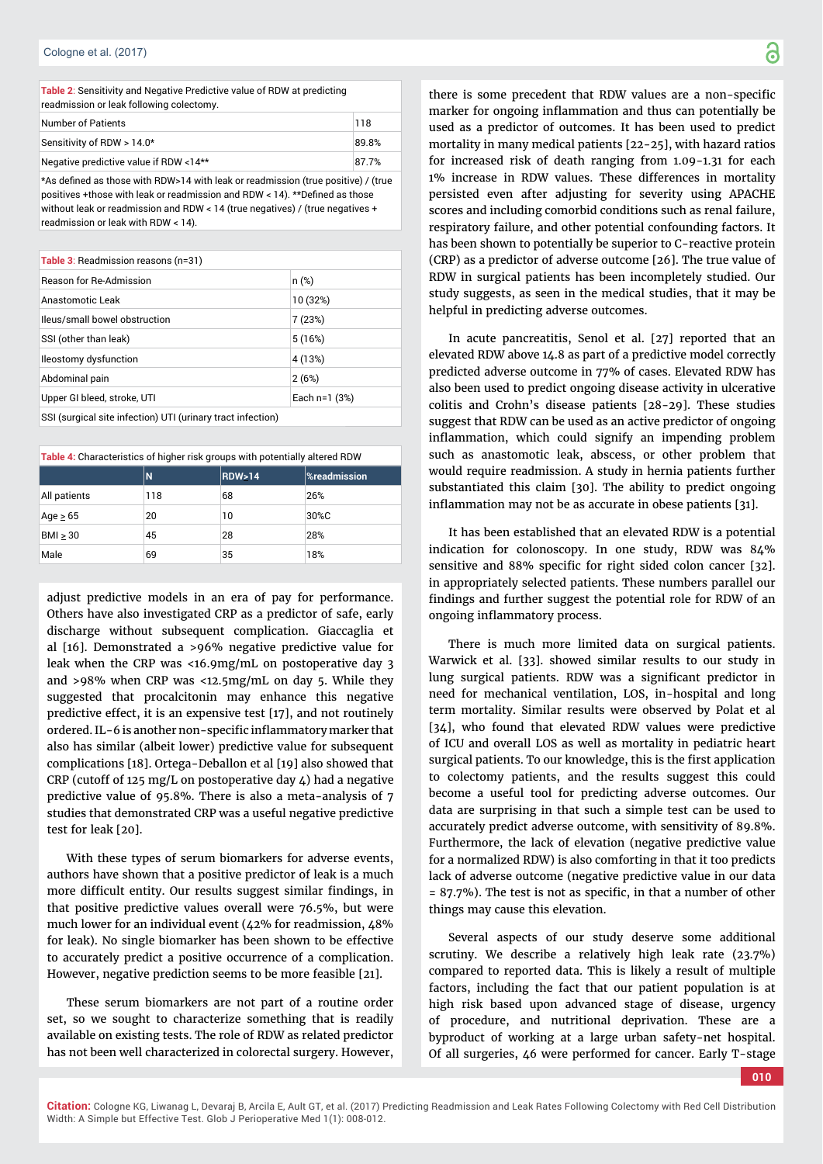**Table 2**: Sensitivity and Negative Predictive value of RDW at predicting readmission or leak following colectomy.

| Number of Patients                     | 118   |
|----------------------------------------|-------|
| Sensitivity of RDW > 14.0*             | 89.8% |
| Negative predictive value if RDW <14** | 87.7% |

\*As defined as those with RDW>14 with leak or readmission (true positive) / (true positives +those with leak or readmission and RDW < 14). \*\*Defined as those without leak or readmission and RDW < 14 (true negatives) / (true negatives + readmission or leak with RDW < 14).

| <b>Table 3: Readmission reasons (n=31)</b> |                 |  |  |
|--------------------------------------------|-----------------|--|--|
| <b>Reason for Re-Admission</b>             | n (%)           |  |  |
| Anastomotic Leak                           | 10 (32%)        |  |  |
| Ileus/small bowel obstruction              | 7(23%)          |  |  |
| SSI (other than leak)                      | 5(16%)          |  |  |
| <b>Ileostomy dysfunction</b>               | 4 (13%)         |  |  |
| Abdominal pain                             | 2(6%)           |  |  |
| Upper GI bleed, stroke, UTI                | Each $n=1$ (3%) |  |  |
|                                            |                 |  |  |

SSI (surgical site infection) UTI (urinary tract infection)

**Table 4:** Characteristics of higher risk groups with potentially altered RDW

|               | N   | <b>RDW&gt;14</b> | <b>%readmission</b> |
|---------------|-----|------------------|---------------------|
| All patients  | 118 | 68               | 26%                 |
| Age $\geq 65$ | 20  | 10               | 30%C                |
| $BMI \geq 30$ | 45  | 28               | 28%                 |
| Male          | 69  | 35               | 18%                 |

adjust predictive models in an era of pay for performance. Others have also investigated CRP as a predictor of safe, early discharge without subsequent complication. Giaccaglia et al [16]. Demonstrated a >96% negative predictive value for leak when the CRP was <16.9mg/mL on postoperative day 3 and >98% when CRP was <12.5mg/mL on day 5. While they suggested that procalcitonin may enhance this negative predictive effect, it is an expensive test [17], and not routinely ordered. IL-6 is another non-specific inflammatory marker that also has similar (albeit lower) predictive value for subsequent complications [18]. Ortega-Deballon et al [19] also showed that CRP (cutoff of 125 mg/L on postoperative day  $\mu$ ) had a negative predictive value of 95.8%. There is also a meta-analysis of 7 studies that demonstrated CRP was a useful negative predictive test for leak [20].

With these types of serum biomarkers for adverse events, authors have shown that a positive predictor of leak is a much more difficult entity. Our results suggest similar findings, in that positive predictive values overall were 76.5%, but were much lower for an individual event (42% for readmission, 48% for leak). No single biomarker has been shown to be effective to accurately predict a positive occurrence of a complication. However, negative prediction seems to be more feasible [21].

These serum biomarkers are not part of a routine order set, so we sought to characterize something that is readily available on existing tests. The role of RDW as related predictor has not been well characterized in colorectal surgery. However,

there is some precedent that RDW values are a non-specific marker for ongoing inflammation and thus can potentially be used as a predictor of outcomes. It has been used to predict mortality in many medical patients [22-25], with hazard ratios for increased risk of death ranging from 1.09-1.31 for each 1% increase in RDW values. These differences in mortality persisted even after adjusting for severity using APACHE scores and including comorbid conditions such as renal failure, respiratory failure, and other potential confounding factors. It has been shown to potentially be superior to C-reactive protein (CRP) as a predictor of adverse outcome [26]. The true value of RDW in surgical patients has been incompletely studied. Our study suggests, as seen in the medical studies, that it may be helpful in predicting adverse outcomes.

In acute pancreatitis, Senol et al. [27] reported that an elevated RDW above 14.8 as part of a predictive model correctly predicted adverse outcome in 77% of cases. Elevated RDW has also been used to predict ongoing disease activity in ulcerative colitis and Crohn's disease patients [28-29]. These studies suggest that RDW can be used as an active predictor of ongoing inflammation, which could signify an impending problem such as anastomotic leak, abscess, or other problem that would require readmission. A study in hernia patients further substantiated this claim [30]. The ability to predict ongoing inflammation may not be as accurate in obese patients [31].

It has been established that an elevated RDW is a potential indication for colonoscopy. In one study, RDW was 84% sensitive and 88% specific for right sided colon cancer [32]. in appropriately selected patients. These numbers parallel our findings and further suggest the potential role for RDW of an ongoing inflammatory process.

There is much more limited data on surgical patients. Warwick et al. [33]. showed similar results to our study in lung surgical patients. RDW was a significant predictor in need for mechanical ventilation, LOS, in-hospital and long term mortality. Similar results were observed by Polat et al [34], who found that elevated RDW values were predictive of ICU and overall LOS as well as mortality in pediatric heart surgical patients. To our knowledge, this is the first application to colectomy patients, and the results suggest this could become a useful tool for predicting adverse outcomes. Our data are surprising in that such a simple test can be used to accurately predict adverse outcome, with sensitivity of 89.8%. Furthermore, the lack of elevation (negative predictive value for a normalized RDW) is also comforting in that it too predicts lack of adverse outcome (negative predictive value in our data  $= 87.7\%$ ). The test is not as specific, in that a number of other things may cause this elevation.

Several aspects of our study deserve some additional scrutiny. We describe a relatively high leak rate (23.7%) compared to reported data. This is likely a result of multiple factors, including the fact that our patient population is at high risk based upon advanced stage of disease, urgency of procedure, and nutritional deprivation. These are a byproduct of working at a large urban safety-net hospital. Of all surgeries, 46 were performed for cancer. Early T-stage

**010**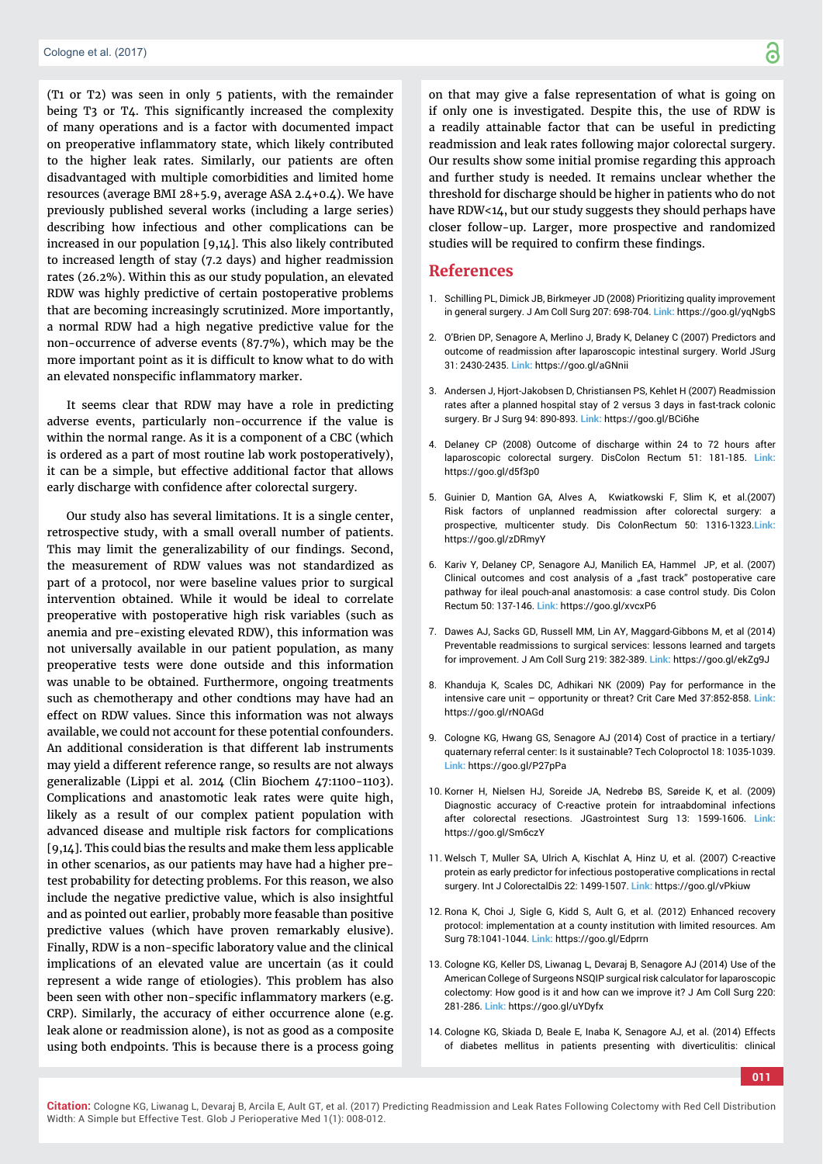(T1 or T2) was seen in only 5 patients, with the remainder being  $T_3$  or  $T_4$ . This significantly increased the complexity of many operations and is a factor with documented impact on preoperative inflammatory state, which likely contributed to the higher leak rates. Similarly, our patients are often disadvantaged with multiple comorbidities and limited home resources (average BMI 28+5.9, average ASA 2.4+0.4). We have previously published several works (including a large series) describing how infectious and other complications can be increased in our population [9,14]. This also likely contributed to increased length of stay (7.2 days) and higher readmission rates (26.2%). Within this as our study population, an elevated RDW was highly predictive of certain postoperative problems that are becoming increasingly scrutinized. More importantly, a normal RDW had a high negative predictive value for the non-occurrence of adverse events (87.7%), which may be the more important point as it is difficult to know what to do with an elevated nonspecific inflammatory marker.

It seems clear that RDW may have a role in predicting adverse events, particularly non-occurrence if the value is within the normal range. As it is a component of a CBC (which is ordered as a part of most routine lab work postoperatively), it can be a simple, but effective additional factor that allows early discharge with confidence after colorectal surgery.

Our study also has several limitations. It is a single center, retrospective study, with a small overall number of patients. This may limit the generalizability of our findings. Second, the measurement of RDW values was not standardized as part of a protocol, nor were baseline values prior to surgical intervention obtained. While it would be ideal to correlate preoperative with postoperative high risk variables (such as anemia and pre-existing elevated RDW), this information was not universally available in our patient population, as many preoperative tests were done outside and this information was unable to be obtained. Furthermore, ongoing treatments such as chemotherapy and other condtions may have had an effect on RDW values. Since this information was not always available, we could not account for these potential confounders. An additional consideration is that different lab instruments may yield a different reference range, so results are not always generalizable (Lippi et al. 2014 (Clin Biochem 47:1100-1103). Complications and anastomotic leak rates were quite high, likely as a result of our complex patient population with advanced disease and multiple risk factors for complications [9,14]. This could bias the results and make them less applicable in other scenarios, as our patients may have had a higher pretest probability for detecting problems. For this reason, we also include the negative predictive value, which is also insightful and as pointed out earlier, probably more feasable than positive predictive values (which have proven remarkably elusive). Finally, RDW is a non-specific laboratory value and the clinical implications of an elevated value are uncertain (as it could represent a wide range of etiologies). This problem has also been seen with other non-specific inflammatory markers (e.g. CRP). Similarly, the accuracy of either occurrence alone (e.g. leak alone or readmission alone), is not as good as a composite using both endpoints. This is because there is a process going on that may give a false representation of what is going on if only one is investigated. Despite this, the use of RDW is a readily attainable factor that can be useful in predicting readmission and leak rates following major colorectal surgery. Our results show some initial promise regarding this approach and further study is needed. It remains unclear whether the threshold for discharge should be higher in patients who do not have RDW<14, but our study suggests they should perhaps have closer follow-up. Larger, more prospective and randomized studies will be required to confirm these findings.

#### **References**

- 1. Schilling PL, Dimick JB, Birkmeyer JD (2008) Prioritizing quality improvement in general surgery. J Am Coll Surg 207: 698-704. **Link:** https://goo.gl/yqNgbS
- 2. O'Brien DP, Senagore A, Merlino J, Brady K, Delaney C (2007) Predictors and outcome of readmission after laparoscopic intestinal surgery. World JSurg 31: 2430-2435. **Link:** https://goo.gl/aGNnii
- 3. Andersen J, Hjort-Jakobsen D, Christiansen PS, Kehlet H (2007) Readmission rates after a planned hospital stay of 2 versus 3 days in fast-track colonic surgery. Br J Surg 94: 890-893. **Link:** https://goo.gl/BCi6he
- 4. Delaney CP (2008) Outcome of discharge within 24 to 72 hours after laparoscopic colorectal surgery. DisColon Rectum 51: 181-185. **Link:** https://goo.gl/d5f3p0
- 5. Guinier D, Mantion GA, Alves A, Kwiatkowski F, Slim K, et al.(2007) Risk factors of unplanned readmission after colorectal surgery: a prospective, multicenter study. Dis ColonRectum 50: 1316-1323.**Link:** https://goo.gl/zDRmyY
- 6. Kariv Y, Delaney CP, Senagore AJ, Manilich EA, Hammel JP, et al. (2007) Clinical outcomes and cost analysis of a "fast track" postoperative care pathway for ileal pouch-anal anastomosis: a case control study. Dis Colon Rectum 50: 137-146. **Link:** https://goo.gl/xvcxP6
- 7. Dawes AJ, Sacks GD, Russell MM, Lin AY, Maggard-Gibbons M, et al (2014) Preventable readmissions to surgical services: lessons learned and targets for improvement. J Am Coll Surg 219: 382-389. **Link:** https://goo.gl/ekZg9J
- 8. Khanduja K, Scales DC, Adhikari NK (2009) Pay for performance in the intensive care unit – opportunity or threat? Crit Care Med 37:852-858. **Link:** https://goo.gl/rNOAGd
- 9. Cologne KG, Hwang GS, Senagore AJ (2014) Cost of practice in a tertiary/ quaternary referral center: Is it sustainable? Tech Coloproctol 18: 1035-1039. **Link:** https://goo.gl/P27pPa
- 10. Korner H, Nielsen HJ, Soreide JA, Nedrebø BS, Søreide K, et al. (2009) Diagnostic accuracy of C-reactive protein for intraabdominal infections after colorectal resections. JGastrointest Surg 13: 1599-1606. **Link:** https://goo.gl/Sm6czY
- 11. Welsch T, Muller SA, Ulrich A, Kischlat A, Hinz U, et al. (2007) C-reactive protein as early predictor for infectious postoperative complications in rectal surgery. Int J ColorectalDis 22: 1499-1507. **Link:** https://goo.gl/vPkiuw
- 12. Rona K, Choi J, Sigle G, Kidd S, Ault G, et al. (2012) Enhanced recovery protocol: implementation at a county institution with limited resources. Am Surg 78:1041-1044. **Link:** https://goo.gl/Edprrn
- 13. Cologne KG, Keller DS, Liwanag L, Devaraj B, Senagore AJ (2014) Use of the American College of Surgeons NSQIP surgical risk calculator for laparoscopic colectomy: How good is it and how can we improve it? J Am Coll Surg 220: 281-286. **Link:** https://goo.gl/uYDyfx
- 14. Cologne KG, Skiada D, Beale E, Inaba K, Senagore AJ, et al. (2014) Effects of diabetes mellitus in patients presenting with diverticulitis: clinical